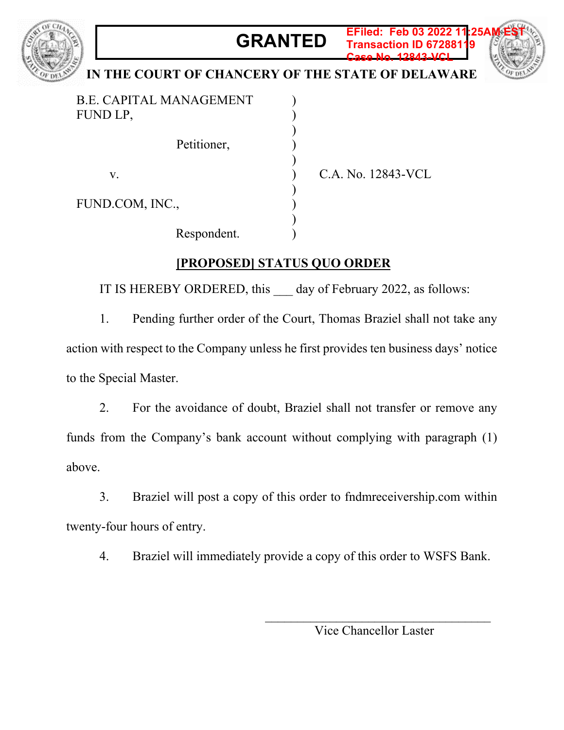## **GRANTED EFiled: Feb 03 2022 11:25AM EST**



## **Transaction ID 67288119**

## **IN THE COURT OF CHANCERY OF THE STATE OF DELAWARE**

) ) ) ) ) ) ) ) ) )

B.E. CAPITAL MANAGEMENT FUND LP, Petitioner, v. FUND.COM, INC., Respondent.

C.A. No. 12843-VCL

**Case No. 12843-VCL**

## **[PROPOSED] STATUS QUO ORDER**

IT IS HEREBY ORDERED, this day of February 2022, as follows:

1. Pending further order of the Court, Thomas Braziel shall not take any action with respect to the Company unless he first provides ten business days' notice to the Special Master.

2. For the avoidance of doubt, Braziel shall not transfer or remove any funds from the Company's bank account without complying with paragraph (1) above.

3. Braziel will post a copy of this order to fndmreceivership.com within twenty-four hours of entry.

4. Braziel will immediately provide a copy of this order to WSFS Bank.

Vice Chancellor Laster